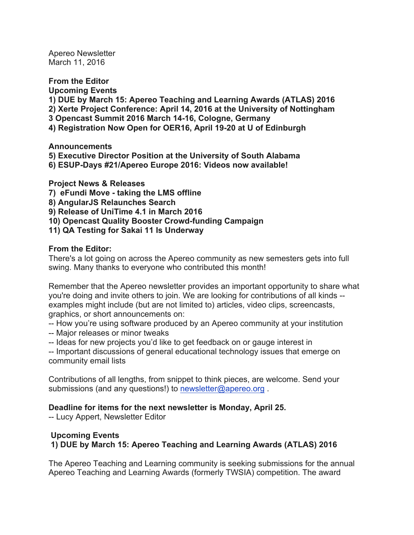Apereo Newsletter March 11, 2016

**From the Editor Upcoming Events 1) DUE by March 15: Apereo Teaching and Learning Awards (ATLAS) 2016 2) Xerte Project Conference: April 14, 2016 at the University of Nottingham 3 Opencast Summit 2016 March 14-16, Cologne, Germany 4) Registration Now Open for OER16, April 19-20 at U of Edinburgh**

**Announcements**

**5) Executive Director Position at the University of South Alabama**

**6) ESUP-Days #21/Apereo Europe 2016: Videos now available!**

**Project News & Releases**

**7) eFundi Move - taking the LMS offline**

**8) AngularJS Relaunches Search**

**9) Release of UniTime 4.1 in March 2016**

**10) Opencast Quality Booster Crowd-funding Campaign**

**11) QA Testing for Sakai 11 Is Underway**

## **From the Editor:**

There's a lot going on across the Apereo community as new semesters gets into full swing. Many thanks to everyone who contributed this month!

Remember that the Apereo newsletter provides an important opportunity to share what you're doing and invite others to join. We are looking for contributions of all kinds - examples might include (but are not limited to) articles, video clips, screencasts, graphics, or short announcements on:

- -- How you're using software produced by an Apereo community at your institution
- -- Major releases or minor tweaks
- -- Ideas for new projects you'd like to get feedback on or gauge interest in

-- Important discussions of general educational technology issues that emerge on community email lists

Contributions of all lengths, from snippet to think pieces, are welcome. Send your submissions (and any questions!) to newsletter@apereo.org.

### **Deadline for items for the next newsletter is Monday, April 25.**

-- Lucy Appert, Newsletter Editor

## **Upcoming Events 1) DUE by March 15: Apereo Teaching and Learning Awards (ATLAS) 2016**

The Apereo Teaching and Learning community is seeking submissions for the annual Apereo Teaching and Learning Awards (formerly TWSIA) competition. The award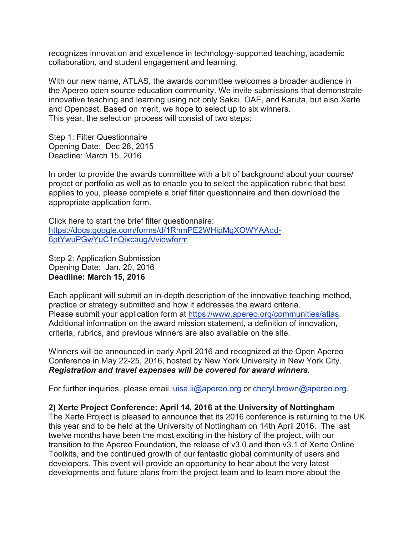recognizes innovation and excellence in technology-supported teaching, academic collaboration, and student engagement and learning.

With our new name, ATLAS, the awards committee welcomes a broader audience in the Apereo open source education community. We invite submissions that demonstrate innovative teaching and learning using not only Sakai, OAE, and Karuta, but also Xerte and Opencast. Based on merit, we hope to select up to six winners. This year, the selection process will consist of two steps:

Step 1: Filter Questionnaire Opening Date: Dec 28, 2015 Deadline: March 15, 2016

In order to provide the awards committee with a bit of background about your course/ project or portfolio as well as to enable you to select the application rubric that best applies to you, please complete a brief filter questionnaire and then download the appropriate application form.

Click here to start the brief filter questionnaire: https://docs.google.com/forms/d/1RhmPE2WHipMgXOWYAAdd-6ptYwuPGwYuC1nQixcaugA/viewform

Step 2: Application Submission Opening Date: Jan. 20, 2016 **Deadline: March 15, 2016**

Each applicant will submit an in-depth description of the innovative teaching method, practice or strategy submitted and how it addresses the award criteria. Please submit your application form at https://www.apereo.org/communities/atlas. Additional information on the award mission statement, a definition of innovation, criteria, rubrics, and previous winners are also available on the site.

Winners will be announced in early April 2016 and recognized at the Open Apereo Conference in May 22-25, 2016, hosted by New York University in New York City. *Registration and travel expenses will be covered for award winners.*

For further inquiries, please email luisa.li@apereo.org or cheryl.brown@apereo.org.

### **2) Xerte Project Conference: April 14, 2016 at the University of Nottingham**

The Xerte Project is pleased to announce that its 2016 conference is returning to the UK this year and to be held at the University of Nottingham on 14th April 2016. The last twelve months have been the most exciting in the history of the project, with our transition to the Apereo Foundation, the release of v3.0 and then v3.1 of Xerte Online Toolkits, and the continued growth of our fantastic global community of users and developers. This event will provide an opportunity to hear about the very latest developments and future plans from the project team and to learn more about the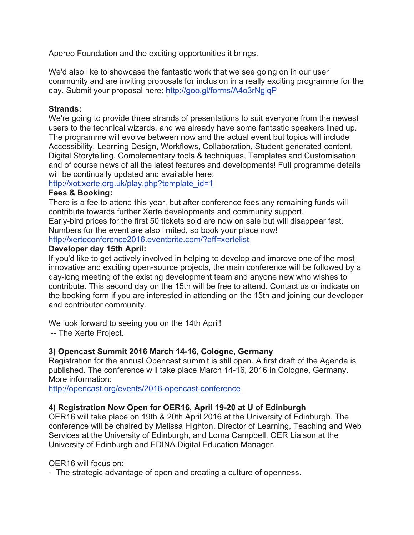Apereo Foundation and the exciting opportunities it brings.

We'd also like to showcase the fantastic work that we see going on in our user community and are inviting proposals for inclusion in a really exciting programme for the day. Submit your proposal here: http://goo.gl/forms/A4o3rNglqP

## **Strands:**

We're going to provide three strands of presentations to suit everyone from the newest users to the technical wizards, and we already have some fantastic speakers lined up. The programme will evolve between now and the actual event but topics will include Accessibility, Learning Design, Workflows, Collaboration, Student generated content, Digital Storytelling, Complementary tools & techniques, Templates and Customisation and of course news of all the latest features and developments! Full programme details will be continually updated and available here:

http://xot.xerte.org.uk/play.php?template\_id=1

## **Fees & Booking:**

There is a fee to attend this year, but after conference fees any remaining funds will contribute towards further Xerte developments and community support.

Early-bird prices for the first 50 tickets sold are now on sale but will disappear fast. Numbers for the event are also limited, so book your place now!

http://xerteconference2016.eventbrite.com/?aff=xertelist

## **Developer day 15th April:**

If you'd like to get actively involved in helping to develop and improve one of the most innovative and exciting open-source projects, the main conference will be followed by a day-long meeting of the existing development team and anyone new who wishes to contribute. This second day on the 15th will be free to attend. Contact us or indicate on the booking form if you are interested in attending on the 15th and joining our developer and contributor community.

We look forward to seeing you on the 14th April!

-- The Xerte Project.

# **3) Opencast Summit 2016 March 14-16, Cologne, Germany**

Registration for the annual Opencast summit is still open. A first draft of the Agenda is published. The conference will take place March 14-16, 2016 in Cologne, Germany. More information:

http://opencast.org/events/2016-opencast-conference

# **4) Registration Now Open for OER16, April 19-20 at U of Edinburgh**

OER16 will take place on 19th & 20th April 2016 at the University of Edinburgh. The conference will be chaired by Melissa Highton, Director of Learning, Teaching and Web Services at the University of Edinburgh, and Lorna Campbell, OER Liaison at the University of Edinburgh and EDINA Digital Education Manager.

# OER16 will focus on:

◦ The strategic advantage of open and creating a culture of openness.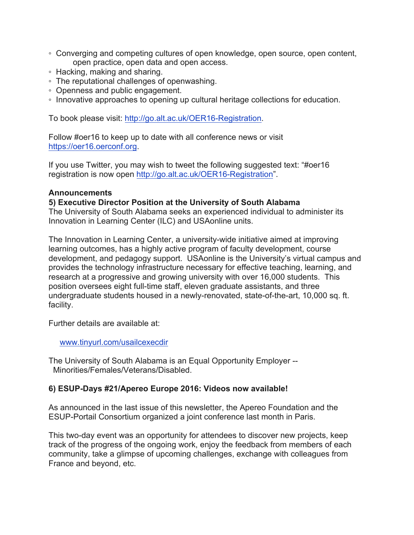- Converging and competing cultures of open knowledge, open source, open content, open practice, open data and open access.
- Hacking, making and sharing.
- The reputational challenges of openwashing.
- Openness and public engagement.
- Innovative approaches to opening up cultural heritage collections for education.

To book please visit: http://go.alt.ac.uk/OER16-Registration.

Follow #oer16 to keep up to date with all conference news or visit https://oer16.oerconf.org.

If you use Twitter, you may wish to tweet the following suggested text: "#oer16 registration is now open http://go.alt.ac.uk/OER16-Registration".

#### **Announcements**

#### **5) Executive Director Position at the University of South Alabama**

The University of South Alabama seeks an experienced individual to administer its Innovation in Learning Center (ILC) and USAonline units.

The Innovation in Learning Center, a university-wide initiative aimed at improving learning outcomes, has a highly active program of faculty development, course development, and pedagogy support. USAonline is the University's virtual campus and provides the technology infrastructure necessary for effective teaching, learning, and research at a progressive and growing university with over 16,000 students. This position oversees eight full-time staff, eleven graduate assistants, and three undergraduate students housed in a newly-renovated, state-of-the-art, 10,000 sq. ft. facility.

Further details are available at:

www.tinyurl.com/usailcexecdir

The University of South Alabama is an Equal Opportunity Employer -- Minorities/Females/Veterans/Disabled.

#### **6) ESUP-Days #21/Apereo Europe 2016: Videos now available!**

As announced in the last issue of this newsletter, the Apereo Foundation and the ESUP-Portail Consortium organized a joint conference last month in Paris.

This two-day event was an opportunity for attendees to discover new projects, keep track of the progress of the ongoing work, enjoy the feedback from members of each community, take a glimpse of upcoming challenges, exchange with colleagues from France and beyond, etc.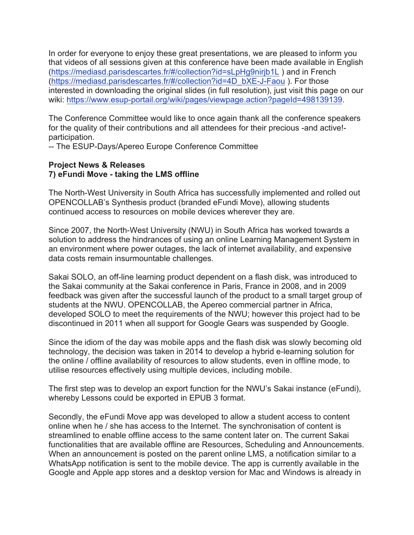In order for everyone to enjoy these great presentations, we are pleased to inform you that videos of all sessions given at this conference have been made available in English (https://mediasd.parisdescartes.fr/#/collection?id=sLpHg9nirjb1L ) and in French (https://mediasd.parisdescartes.fr/#/collection?id=4D\_bXE-J-Faou ). For those interested in downloading the original slides (in full resolution), just visit this page on our wiki: https://www.esup-portail.org/wiki/pages/viewpage.action?pageId=498139139.

The Conference Committee would like to once again thank all the conference speakers for the quality of their contributions and all attendees for their precious -and active! participation.

-- The ESUP-Days/Apereo Europe Conference Committee

### **Project News & Releases 7) eFundi Move - taking the LMS offline**

The North-West University in South Africa has successfully implemented and rolled out OPENCOLLAB's Synthesis product (branded eFundi Move), allowing students continued access to resources on mobile devices wherever they are.

Since 2007, the North-West University (NWU) in South Africa has worked towards a solution to address the hindrances of using an online Learning Management System in an environment where power outages, the lack of internet availability, and expensive data costs remain insurmountable challenges.

Sakai SOLO, an off-line learning product dependent on a flash disk, was introduced to the Sakai community at the Sakai conference in Paris, France in 2008, and in 2009 feedback was given after the successful launch of the product to a small target group of students at the NWU. OPENCOLLAB, the Apereo commercial partner in Africa, developed SOLO to meet the requirements of the NWU; however this project had to be discontinued in 2011 when all support for Google Gears was suspended by Google.

Since the idiom of the day was mobile apps and the flash disk was slowly becoming old technology, the decision was taken in 2014 to develop a hybrid e-learning solution for the online / offline availability of resources to allow students, even in offline mode, to utilise resources effectively using multiple devices, including mobile.

The first step was to develop an export function for the NWU's Sakai instance (eFundi), whereby Lessons could be exported in EPUB 3 format.

Secondly, the eFundi Move app was developed to allow a student access to content online when he / she has access to the Internet. The synchronisation of content is streamlined to enable offline access to the same content later on. The current Sakai functionalities that are available offline are Resources, Scheduling and Announcements. When an announcement is posted on the parent online LMS, a notification similar to a WhatsApp notification is sent to the mobile device. The app is currently available in the Google and Apple app stores and a desktop version for Mac and Windows is already in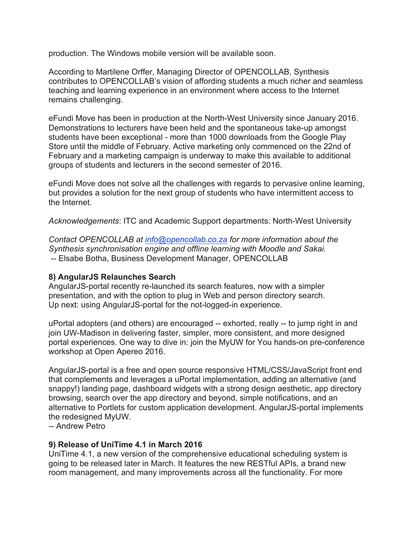production. The Windows mobile version will be available soon.

According to Martilene Orffer, Managing Director of OPENCOLLAB, Synthesis contributes to OPENCOLLAB's vision of affording students a much richer and seamless teaching and learning experience in an environment where access to the Internet remains challenging.

eFundi Move has been in production at the North-West University since January 2016. Demonstrations to lecturers have been held and the spontaneous take-up amongst students have been exceptional - more than 1000 downloads from the Google Play Store until the middle of February. Active marketing only commenced on the 22nd of February and a marketing campaign is underway to make this available to additional groups of students and lecturers in the second semester of 2016.

eFundi Move does not solve all the challenges with regards to pervasive online learning, but provides a solution for the next group of students who have intermittent access to the Internet.

*Acknowledgements*: ITC and Academic Support departments: North-West University

*Contact OPENCOLLAB at info@opencollab.co.za for more information about the Synthesis synchronisation engine and offline learning with Moodle and Sakai.* -- Elsabe Botha, Business Development Manager, OPENCOLLAB

### **8) AngularJS Relaunches Search**

AngularJS-portal recently re-launched its search features, now with a simpler presentation, and with the option to plug in Web and person directory search. Up next: using AngularJS-portal for the not-logged-in experience.

uPortal adopters (and others) are encouraged -- exhorted, really -- to jump right in and join UW-Madison in delivering faster, simpler, more consistent, and more designed portal experiences. One way to dive in: join the MyUW for You hands-on pre-conference workshop at Open Apereo 2016.

AngularJS-portal is a free and open source responsive HTML/CSS/JavaScript front end that complements and leverages a uPortal implementation, adding an alternative (and snappy!) landing page, dashboard widgets with a strong design aesthetic, app directory browsing, search over the app directory and beyond, simple notifications, and an alternative to Portlets for custom application development. AngularJS-portal implements the redesigned MyUW.

-- Andrew Petro

### **9) Release of UniTime 4.1 in March 2016**

UniTime 4.1, a new version of the comprehensive educational scheduling system is going to be released later in March. It features the new RESTful APIs, a brand new room management, and many improvements across all the functionality. For more